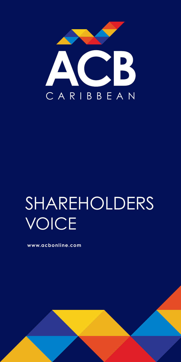



# SHAREHOLDERS VOICE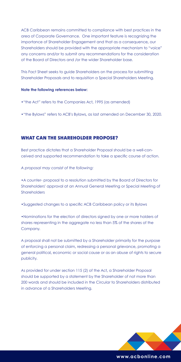ACB Caribbean remains committed to compliance with best practices in the area of Corporate Governance. One important feature is recognizing the importance of Shareholder Engagement and that as a consequence, our Shareholders should be provided with the appropriate mechanism to "voice" any concerns and/or to submit any recommendations for the consideration of the Board of Directors and /or the wider Shareholder base.

•A counter- proposal to a resolution submitted by the Board of Directors for Shareholders' approval at an Annual General Meeting or Special Meeting of **Shareholders** 

This Fact Sheet seeks to guide Shareholders on the process for submitting Shareholder Proposals and to requisition a Special Shareholders Meeting.

#### Note the following references below:

- •"the Act" refers to the Companies Act, 1995 (as amended)
- •"the Bylaws" refers to ACB's Bylaws, as last amended on December 30, 2020.

## WHAT CAN THE SHAREHOLDER PROPOSE?

Best practice dictates that a Shareholder Proposal should be a well-conceived and supported recommendation to take a specific course of action.

*A proposal may consist of the following:*

•Suggested changes to a specific ACB Caribbean policy or its Bylaws

•Nominations for the election of directors signed by one or more holders of shares representing in the aggregate no less than 5% of the shares of the Company.

A proposal shall not be submitted by a Shareholder primarily for the purpose of enforcing a personal claim, redressing a personal grievance, promoting a general political, economic or social cause or as an abuse of rights to secure publicity.

As provided for under section 115 (2) of the Act, a Shareholder Proposal should be supported by a statement by the Shareholder of not more than 200 words and should be included in the Circular to Shareholders distributed in advance of a Shareholders Meeting.

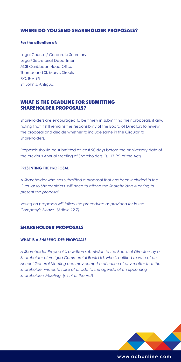## WHERE DO YOU SEND SHAREHOLDER PROPOSALS?

#### For the attention of:

Legal Counsel/ Corporate Secretary Legal/ Secretariat Department ACB Caribbean Head Office Thames and St. Mary's Streets P.O. Box 95 St. John's, Antigua.

## WHAT IS THE DEADLINE FOR SUBMITTING SHAREHOLDER PROPOSALS?

Shareholders are encouraged to be timely in submitting their proposals, if any, noting that it still remains the responsibility of the Board of Directors to review the proposal and decide whether to include same in the Circular to Shareholders.

Proposals should be submitted at least 90 days before the anniversary date of the previous Annual Meeting of Shareholders. (s.117 (a) of the Act)

#### PRESENTING THE PROPOSAL

*A Shareholder who has submitted a proposal that has been included in the Circular to Shareholders, will need to attend the Shareholders Meeting to present the proposal.*

*Voting on proposals will follow the procedures as provided for in the Company's Bylaws. (Article 12.7)*

## SHAREHOLDER PROPOSALS

#### WHAT IS A SHAREHOLDER PROPOSAL?

*A Shareholder Proposal is a written submission to the Board of Directors by a Shareholder of Antigua Commercial Bank Ltd. who is entitled to vote at an Annual General Meeting and may comprise of notice of any matter that the Shareholder wishes to raise at or add to the agenda of an upcoming Shareholders Meeting. (s.114 of the Act)*